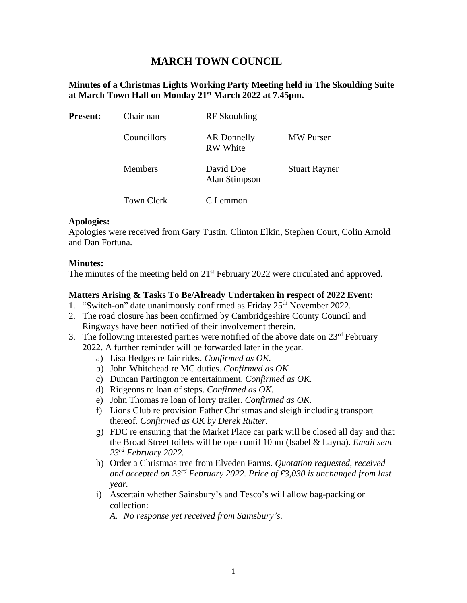# **MARCH TOWN COUNCIL**

## **Minutes of a Christmas Lights Working Party Meeting held in The Skoulding Suite at March Town Hall on Monday 21st March 2022 at 7.45pm.**

| <b>Present:</b> | Chairman          | <b>RF</b> Skoulding            |                      |
|-----------------|-------------------|--------------------------------|----------------------|
|                 | Councillors       | AR Donnelly<br><b>RW</b> White | <b>MW</b> Purser     |
|                 | <b>Members</b>    | David Doe<br>Alan Stimpson     | <b>Stuart Rayner</b> |
|                 | <b>Town Clerk</b> | C Lemmon                       |                      |

### **Apologies:**

Apologies were received from Gary Tustin, Clinton Elkin, Stephen Court, Colin Arnold and Dan Fortuna.

### **Minutes:**

The minutes of the meeting held on 21<sup>st</sup> February 2022 were circulated and approved.

#### **Matters Arising & Tasks To Be/Already Undertaken in respect of 2022 Event:**

- 1. "Switch-on" date unanimously confirmed as Friday 25<sup>th</sup> November 2022.
- 2. The road closure has been confirmed by Cambridgeshire County Council and Ringways have been notified of their involvement therein.
- 3. The following interested parties were notified of the above date on  $23<sup>rd</sup>$  February
	- 2022. A further reminder will be forwarded later in the year.
		- a) Lisa Hedges re fair rides. *Confirmed as OK.*
		- b) John Whitehead re MC duties. *Confirmed as OK.*
		- c) Duncan Partington re entertainment. *Confirmed as OK.*
		- d) Ridgeons re loan of steps. *Confirmed as OK.*
		- e) John Thomas re loan of lorry trailer. *Confirmed as OK.*
		- f) Lions Club re provision Father Christmas and sleigh including transport thereof. *Confirmed as OK by Derek Rutter.*
		- g) FDC re ensuring that the Market Place car park will be closed all day and that the Broad Street toilets will be open until 10pm (Isabel & Layna). *Email sent 23rd February 2022.*
		- h) Order a Christmas tree from Elveden Farms. *Quotation requested, received and accepted on 23rd February 2022. Price of £3,030 is unchanged from last year.*
		- i) Ascertain whether Sainsbury's and Tesco's will allow bag-packing or collection:
			- *A. No response yet received from Sainsbury's.*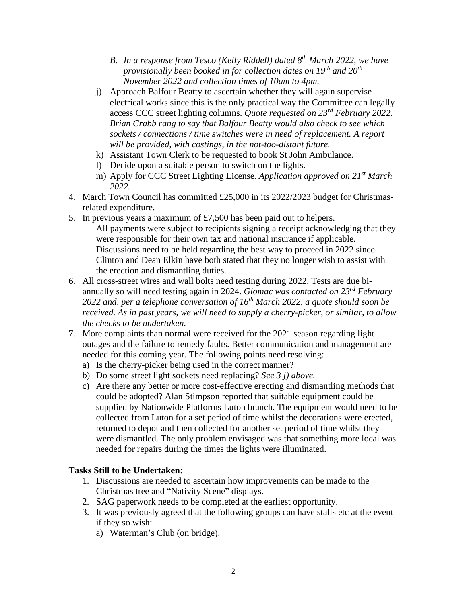- *B. In a response from Tesco (Kelly Riddell) dated 8th March 2022, we have provisionally been booked in for collection dates on 19th and 20th November 2022 and collection times of 10am to 4pm.*
- j) Approach Balfour Beatty to ascertain whether they will again supervise electrical works since this is the only practical way the Committee can legally access CCC street lighting columns. *Quote requested on 23rd February 2022. Brian Crabb rang to say that Balfour Beatty would also check to see which sockets / connections / time switches were in need of replacement. A report will be provided, with costings, in the not-too-distant future.*
- k) Assistant Town Clerk to be requested to book St John Ambulance.
- l) Decide upon a suitable person to switch on the lights.
- m) Apply for CCC Street Lighting License. *Application approved on 21st March 2022.*
- 4. March Town Council has committed £25,000 in its 2022/2023 budget for Christmasrelated expenditure.
- 5. In previous years a maximum of £7,500 has been paid out to helpers. All payments were subject to recipients signing a receipt acknowledging that they were responsible for their own tax and national insurance if applicable. Discussions need to be held regarding the best way to proceed in 2022 since Clinton and Dean Elkin have both stated that they no longer wish to assist with the erection and dismantling duties.
- 6. All cross-street wires and wall bolts need testing during 2022. Tests are due biannually so will need testing again in 2024. *Glomac was contacted on 23rd February 2022 and, per a telephone conversation of 16th March 2022, a quote should soon be received. As in past years, we will need to supply a cherry-picker, or similar, to allow the checks to be undertaken.*
- 7. More complaints than normal were received for the 2021 season regarding light outages and the failure to remedy faults. Better communication and management are needed for this coming year. The following points need resolving:
	- a) Is the cherry-picker being used in the correct manner?
	- b) Do some street light sockets need replacing? *See 3 j) above.*
	- c) Are there any better or more cost-effective erecting and dismantling methods that could be adopted? Alan Stimpson reported that suitable equipment could be supplied by Nationwide Platforms Luton branch. The equipment would need to be collected from Luton for a set period of time whilst the decorations were erected, returned to depot and then collected for another set period of time whilst they were dismantled. The only problem envisaged was that something more local was needed for repairs during the times the lights were illuminated.

## **Tasks Still to be Undertaken:**

- 1. Discussions are needed to ascertain how improvements can be made to the Christmas tree and "Nativity Scene" displays.
- 2. SAG paperwork needs to be completed at the earliest opportunity.
- 3. It was previously agreed that the following groups can have stalls etc at the event if they so wish:
	- a) Waterman's Club (on bridge).